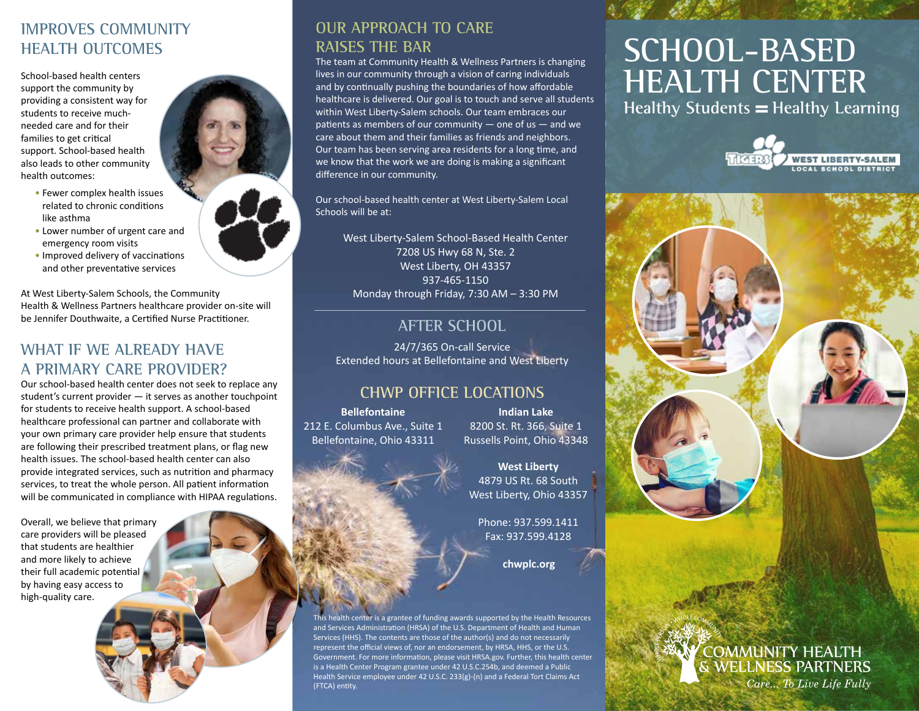#### **IMPROVES COMMUNITY HEALTH OUTCOMES**

School-based health centers support the community by providing a consistent way for students to receive muchneeded care and for their families to get critical support. School-based health also leads to other community health outcomes:

- Fewer complex health issues related to chronic conditions like asthma
- Lower number of urgent care and emergency room visits
- Improved delivery of vaccinations and other preventative services

At West Liberty-Salem Schools, the Community Health & Wellness Partners healthcare provider on-site will be Jennifer Douthwaite, a Certified Nurse Practitioner.

#### **WHAT IF WE ALREADY HAVE A PRIMARY CARE PROVIDER?**

Our school-based health center does not seek to replace any student's current provider — it serves as another touchpoint for students to receive health support. A school-based healthcare professional can partner and collaborate with your own primary care provider help ensure that students are following their prescribed treatment plans, or flag new health issues. The school-based health center can also provide integrated services, such as nutrition and pharmacy services, to treat the whole person. All patient information will be communicated in compliance with HIPAA regulations.

Overall, we believe that primary care providers will be pleased that students are healthier and more likely to achieve their full academic potential by having easy access to high-quality care.



#### **OUR APPROACH TO CARE RAISES THE BAR**

The team at Community Health & Wellness Partners is changing lives in our community through a vision of caring individuals and by continually pushing the boundaries of how affordable healthcare is delivered. Our goal is to touch and serve all students within West Liberty-Salem schools. Our team embraces our patients as members of our community  $-$  one of us  $-$  and we care about them and their families as friends and neighbors. Our team has been serving area residents for a long time, and we know that the work we are doing is making a significant difference in our community.

Our school-based health center at West Liberty-Salem Local Schools will be at:

West Liberty-Salem School-Based Health Center 7208 US Hwy 68 N, Ste. 2 West Liberty, OH 43357 937-465-1150 Monday through Friday, 7:30 AM – 3:30 PM

#### **AFTER SCHOOL**

24/7/365 On-call Service Extended hours at Bellefontaine and West Liberty

#### **CHWP OFFICE LOCATIONS**

**Bellefontaine** 212 E. Columbus Ave., Suite 1 Bellefontaine, Ohio 43311

**Indian Lake** 8200 St. Rt. 366, Suite 1 Russells Point, Ohio 43348

**West Liberty** 4879 US Rt. 68 South West Liberty, Ohio 43357

Phone: 937.599.1411 Fax: 937.599.4128

**chwplc.org**

Ith center is a grantee of funding awards supported by the Health Resources and Services Administration (HRSA) of the U.S. Department of Health and Human Services (HHS). The contents are those of the author(s) and do not necessarily represent the official views of, nor an endorsement, by HRSA, HHS, or the U.S. Government. For more information, please visit HRSA.gov. Further, this health center is a Health Center Program grantee under 42 U.S.C.254b, and deemed a Public Health Service employee under 42 U.S.C. 233(g)-(n) and a Federal Tort Claims Act (FTCA) entity.

# **SCHOOL-BASED HEALTH CENTER**

**Healthy Students = Healthy Learning** 





Care... To Live Life Fully